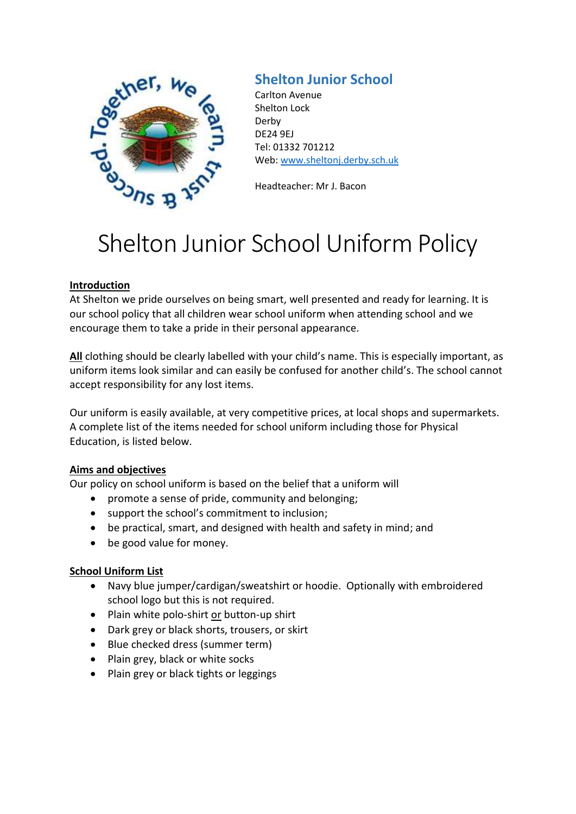

# **Shelton Junior School**

Carlton Avenue Shelton Lock Derby DE24 9EJ Tel: 01332 701212 Web: [www.sheltonj.derby.sch.uk](http://www.sheltonj.derby.sch.uk/)

Headteacher: Mr J. Bacon

# Shelton Junior School Uniform Policy

# **Introduction**

At Shelton we pride ourselves on being smart, well presented and ready for learning. It is our school policy that all children wear school uniform when attending school and we encourage them to take a pride in their personal appearance.

**All** clothing should be clearly labelled with your child's name. This is especially important, as uniform items look similar and can easily be confused for another child's. The school cannot accept responsibility for any lost items.

Our uniform is easily available, at very competitive prices, at local shops and supermarkets. A complete list of the items needed for school uniform including those for Physical Education, is listed below.

#### **Aims and objectives**

Our policy on school uniform is based on the belief that a uniform will

- promote a sense of pride, community and belonging;
- support the school's commitment to inclusion;
- be practical, smart, and designed with health and safety in mind; and
- be good value for money.

# **School Uniform List**

- Navy blue jumper/cardigan/sweatshirt or hoodie. Optionally with embroidered school logo but this is not required.
- Plain white polo-shirt or button-up shirt
- Dark grey or black shorts, trousers, or skirt
- Blue checked dress (summer term)
- Plain grey, black or white socks
- Plain grey or black tights or leggings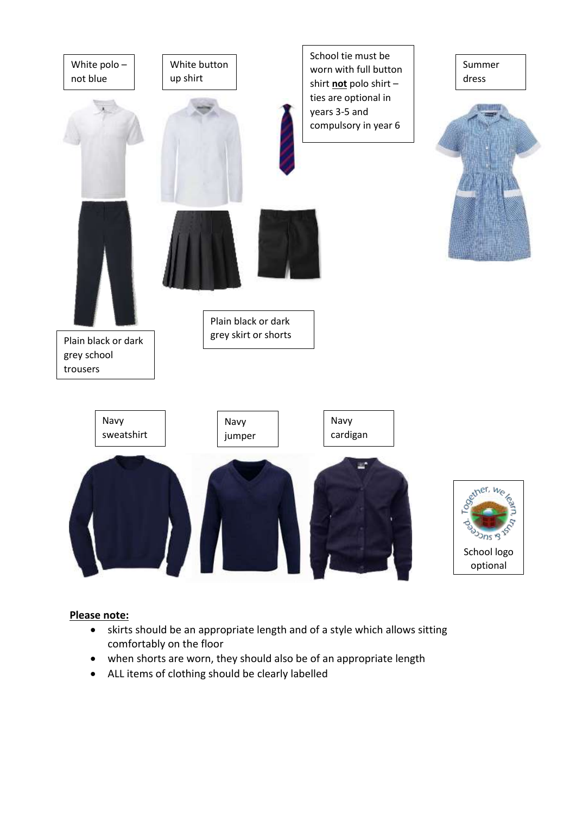

# **Please note:**

- skirts should be an appropriate length and of a style which allows sitting comfortably on the floor
- when shorts are worn, they should also be of an appropriate length
- ALL items of clothing should be clearly labelled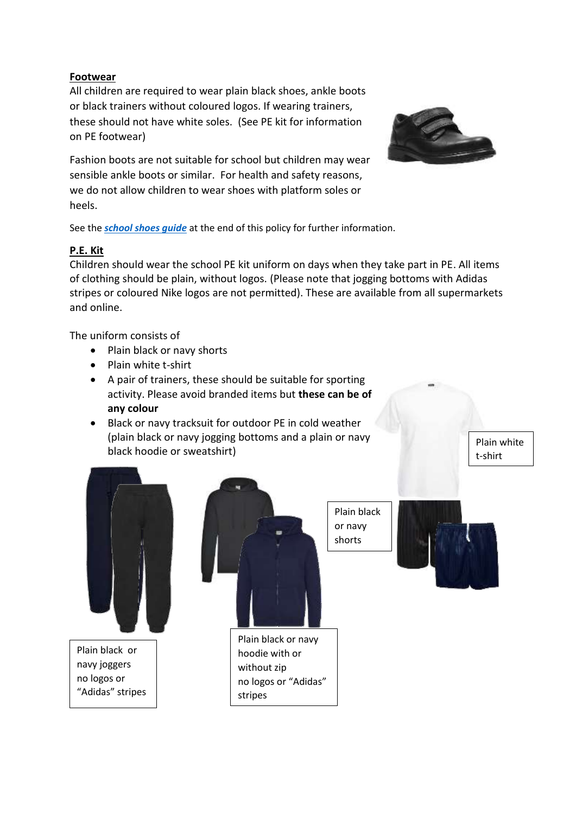# **Footwear**

All children are required to wear plain black shoes, ankle boots or black trainers without coloured logos. If wearing trainers, these should not have white soles. (See PE kit for information on PE footwear)

Fashion boots are not suitable for school but children may wear sensible ankle boots or similar. For health and safety reasons, we do not allow children to wear shoes with platform soles or heels.



See the *[school shoes guide](#page-4-0)* at the end of this policy for further information.

# **P.E. Kit**

Children should wear the school PE kit uniform on days when they take part in PE. All items of clothing should be plain, without logos. (Please note that jogging bottoms with Adidas stripes or coloured Nike logos are not permitted). These are available from all supermarkets and online.

The uniform consists of

- Plain black or navy shorts
- Plain white t-shirt
- A pair of trainers, these should be suitable for sporting activity. Please avoid branded items but **these can be of any colour**
- Black or navy tracksuit for outdoor PE in cold weather (plain black or navy jogging bottoms and a plain or navy black hoodie or sweatshirt)

Plain white t-shirt

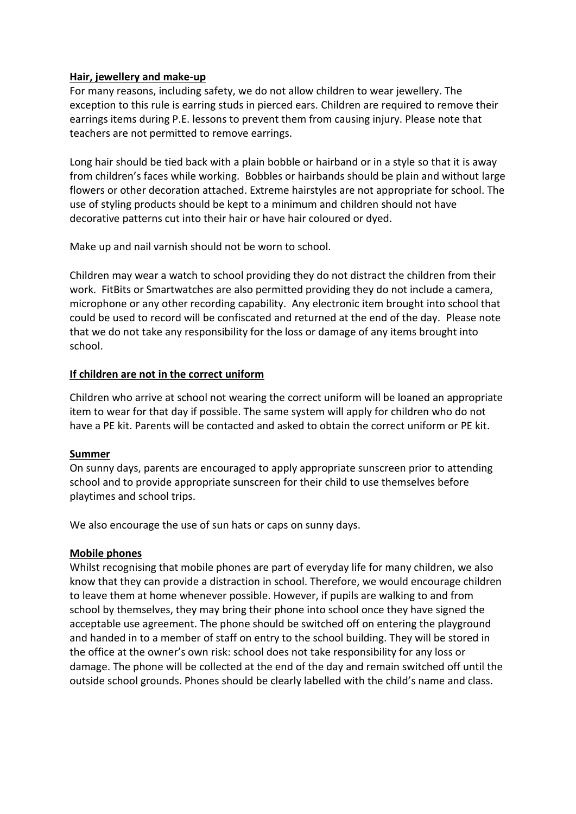#### **Hair, jewellery and make-up**

For many reasons, including safety, we do not allow children to wear jewellery. The exception to this rule is earring studs in pierced ears. Children are required to remove their earrings items during P.E. lessons to prevent them from causing injury. Please note that teachers are not permitted to remove earrings.

Long hair should be tied back with a plain bobble or hairband or in a style so that it is away from children's faces while working. Bobbles or hairbands should be plain and without large flowers or other decoration attached. Extreme hairstyles are not appropriate for school. The use of styling products should be kept to a minimum and children should not have decorative patterns cut into their hair or have hair coloured or dyed.

Make up and nail varnish should not be worn to school.

Children may wear a watch to school providing they do not distract the children from their work. FitBits or Smartwatches are also permitted providing they do not include a camera, microphone or any other recording capability. Any electronic item brought into school that could be used to record will be confiscated and returned at the end of the day. Please note that we do not take any responsibility for the loss or damage of any items brought into school.

#### **If children are not in the correct uniform**

Children who arrive at school not wearing the correct uniform will be loaned an appropriate item to wear for that day if possible. The same system will apply for children who do not have a PE kit. Parents will be contacted and asked to obtain the correct uniform or PE kit.

#### **Summer**

On sunny days, parents are encouraged to apply appropriate sunscreen prior to attending school and to provide appropriate sunscreen for their child to use themselves before playtimes and school trips.

We also encourage the use of sun hats or caps on sunny days.

#### **Mobile phones**

Whilst recognising that mobile phones are part of everyday life for many children, we also know that they can provide a distraction in school. Therefore, we would encourage children to leave them at home whenever possible. However, if pupils are walking to and from school by themselves, they may bring their phone into school once they have signed the acceptable use agreement. The phone should be switched off on entering the playground and handed in to a member of staff on entry to the school building. They will be stored in the office at the owner's own risk: school does not take responsibility for any loss or damage. The phone will be collected at the end of the day and remain switched off until the outside school grounds. Phones should be clearly labelled with the child's name and class.